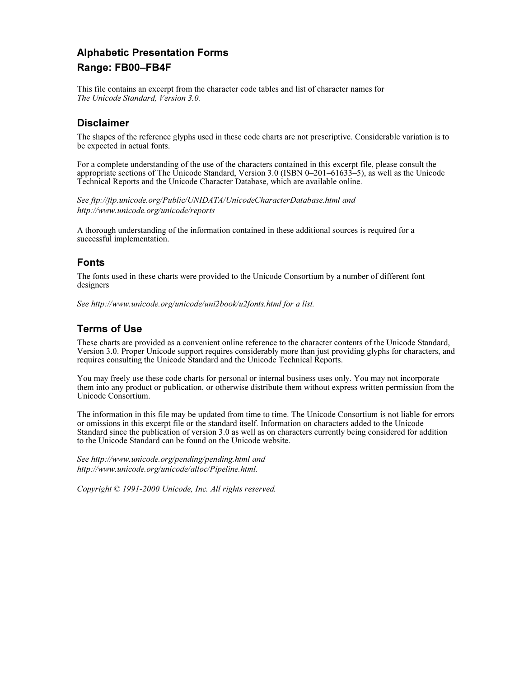# Alphabetic Presentation Forms<br>Range: FB00–FB4F  $R = 100$

This file contains an excerpt from the character code tables and list of character names for The Unicode Standard, Version 3.0.

The shapes of the reference glyphs used in these code charts are not prescriptive. Considerable variation is to be expected in actual fonts.

For a complete understanding of the use of the characters contained in this excerpt file, please consult the appropriate sections of The Unicode Standard, Version 3.0 (ISBN 0–201–61633–5), as well as the Unicode Technical Reports and the Unicode Character Database, which are available online.

See ftp://ftp.unicode.org/Public/UNIDATA/UnicodeCharacterDatabase.html and http://www.unicode.org/unicode/reports

A thorough understanding of the information contained in these additional sources is required for a successful implementation.

## **Fonts**

The fonts used in these charts were provided to the Unicode Consortium by a number of different font designers

See http://www.unicode.org/unicode/uni2book/u2fonts.html for a list.

## **Terms of Use**

These charts are provided as a convenient online reference to the character contents of the Unicode Standard, Version 3.0. Proper Unicode support requires considerably more than just providing glyphs for characters, and requires consulting the Unicode Standard and the Unicode Technical Reports.

You may freely use these code charts for personal or internal business uses only. You may not incorporate them into any product or publication, or otherwise distribute them without express written permission from the Unicode Consortium.

The information in this file may be updated from time to time. The Unicode Consortium is not liable for errors or omissions in this excerpt file or the standard itself. Information on characters added to the Unicode Standard since the publication of version 3.0 as well as on characters currently being considered for addition to the Unicode Standard can be found on the Unicode website.

See http://www.unicode.org/pending/pending.html and http://www.unicode.org/unicode/alloc/Pipeline.html.

Copyright © 1991-2000 Unicode, Inc. All rights reserved.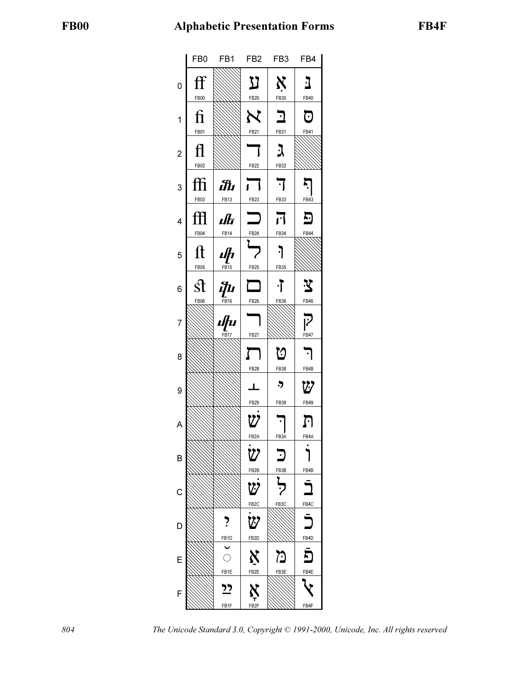

804 The Unicode Standard 3.0, Copyright © 1991-2000, Unicode, Inc. All rights reserved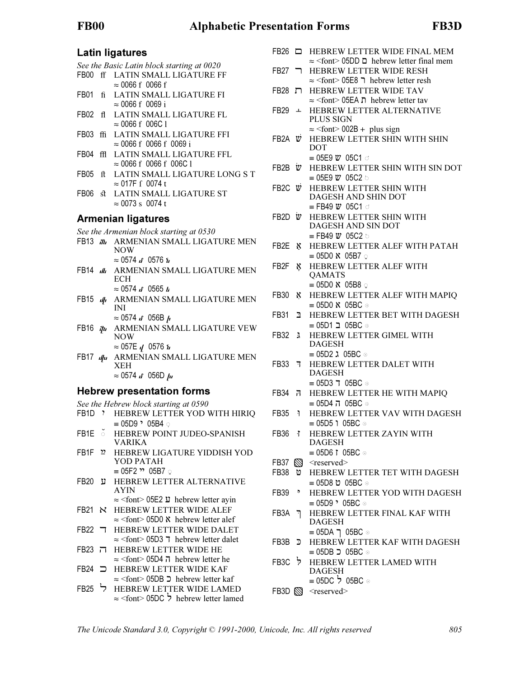Latin ligatures See the Basic Latin block starting at 0020

- FB00 ff LATIN SMALL LIGATURE FF  $\approx 0066$  f 0066 f
- FB01 fi LATIN SMALL LIGATURE FI  $\approx 0066 \text{ f} 0069 \text{ i}$
- FB02 fl LATIN SMALL LIGATURE FL  $\approx 0066$  f 006C l
- FB03 ffi LATIN SMALL LIGATURE FFI  $\approx 0066$  f 0066 f 0069 i
- FB04 ffL LATIN SMALL LIGATURE FFL  $\approx 0066$  f 0066 f 006C l
- FB05 ft LATIN SMALL LIGATURE LONG S T  $\approx$  017F  $\int$  0074 t
- FB06 **st** LATIN SMALL LIGATURE ST  $\approx 0073 \text{ s} 0074 \text{ t}$

See the Armenian block starting at 0530

- FB13  $m_1$  ARMENIAN SMALL LIGATURE MEN NOW  $\approx 0574$  *if* 0576 *ii*
- FB14 **JE** ARMENIAN SMALL LIGATURE MEN **ECH**
- $\approx 0574 \text{ if } 0565 \text{ ft}$ FB15 **A** ARMENIAN SMALL LIGATURE MEN
	- INI  $\approx$  0574  $\boldsymbol{u}$  056B  $\boldsymbol{p}$
- FB16  $p_{\mu}$  ARMENIAN SMALL LIGATURE VEW NOW
	- $\approx 057E$   $I$  0576  $I$
- FB17  $\mu$  ARMENIAN SMALL LIGATURE MEN XEH  $\approx$  0574 if 056D  $\mu$

Hebrew presentation forms See the Hebrew block starting at 0590

- FB1D : HEBREW LETTER YOD WITH HIRIQ  $\equiv$  05D9  $\cdot$  05B4  $\circ$
- FB1E  $\check{\circ}$  HEBREW POINT JUDEO-SPANISH VARIKA
- FB1F <sup>2</sup> HEBREW LIGATURE YIDDISH YOD YOD PATAH  $= 05F2$  \*\* 05B7 ⊙
- FB20 + HEBREW LETTER ALTERNATIVE AYIN  $\approx$  <font> 05E2  $\mu$  hebrew letter ayin
- FB21 N HEBREW LETTER WIDE ALEF  $\approx$  <font> 05D0  $\chi$  hebrew letter alef
- FB22 7 HEBREW LETTER WIDE DALET  $\approx$  <font> 05D3  $\bar{\tau}$  hebrew letter dalet
- FB23 / HEBREW LETTER WIDE HE  $\approx$  <font> 05D4  $\overline{n}$  hebrew letter he
- $FB24 \implies$  HEBREW LETTER WIDE KAF  $\approx$  <font> 05DB  $\supset$  hebrew letter kaf
- FB25 7 HEBREW LETTER WIDE LAMED  $\approx$  <font> 05DC  $\frac{1}{2}$  hebrew letter lamed
- FB26  $\Box$  HEBREW LETTER WIDE FINAL MEM
- $\approx$  <font> 05DD  $\Box$  hebrew letter final mem FB27 THEBREW LETTER WIDE RESH
- $\approx$  <font> 05E8  $\Box$  hebrew letter resh **FB28 T HEBREW LETTER WIDE TAV**
- $\approx$  <font> 05EA n hebrew letter tav
- FB29 + HEBREW LETTER ALTERNATIVE PLUS SIGN  $\approx$  <font> 002B + plus sign
- FB2A  $\psi$  HEBREW LETTER SHIN WITH SHIN DOT
	- $\equiv$  05E9  $\boldsymbol{w}$  05C1  $\circ$
- FB2B  $\dot{v}$  HEBREW LETTER SHIN WITH SIN DOT  $\equiv$  05E9  $\boldsymbol{w}$  05C2  $\circ$
- FB2C  $\ddot{v}$  HEBREW LETTER SHIN WITH DAGESH AND SHIN DOT  $\equiv$  FB49  $\ddot{\omega}$  05C1 ਂ
- FB2D  $\ddot{v}$  HEBREW LETTER SHIN WITH DAGESH AND SIN DOT  $\equiv$  FB49  $\ddot{w}$  05C2  $\circ$
- FB2E & HEBREW LETTER ALEF WITH PATAH  $\equiv$  05D0  $\boldsymbol{\aleph}$  05B7  $\circ$
- FB2F **K** HEBREW LETTER ALEF WITH **OAMATS**  $\equiv$  05D0  $\boldsymbol{\aleph}$  05B8  $\circ$
- **FB30 N HEBREW LETTER ALEF WITH MAPIQ**  $\equiv$  05D0  $\chi$  05BC  $\odot$
- FB31 **E HEBREW LETTER BET WITH DAGESH** ≡ 05D1 05BC
- FB32 **3** HEBREW LETTER GIMEL WITH DAGESH  $\equiv$  05D2  $\lambda$  05BC  $\odot$
- **FB33 7** HEBREW LETTER DALET WITH DAGESH  $= 05D3$  T 05BC  $\odot$
- FB34 HEBREW LETTER HE WITH MAPIQ ≡ 05D4 05BC
- FB35 **1** HEBREW LETTER VAV WITH DAGESH  $= 05D5$  i 05BC  $\circ$
- FB36 **i** HEBREW LETTER ZAYIN WITH DAGESH  $\equiv$  05D6  $\uparrow$  05BC  $\odot$
- FB37 Sexerved>
- **FB38 © HEBREW LETTER TET WITH DAGESH** ≡ 05D8 05BC
- FB39 > HEBREW LETTER YOD WITH DAGESH  $\equiv$  05D9  $\cdot$  05BC  $\odot$
- FB3A " HEBREW LETTER FINAL KAF WITH DAGESH  $=$  05DA  $\overline{)}$  05BC  $\circ$
- FB3B J HEBREW LETTER KAF WITH DAGESH ≡ 05DB  $\supset$  05BC ⊚
- FB3C > HEBREW LETTER LAMED WITH DAGESH ≡ 05DC ' 05BC
- FB3D SS <reserved>